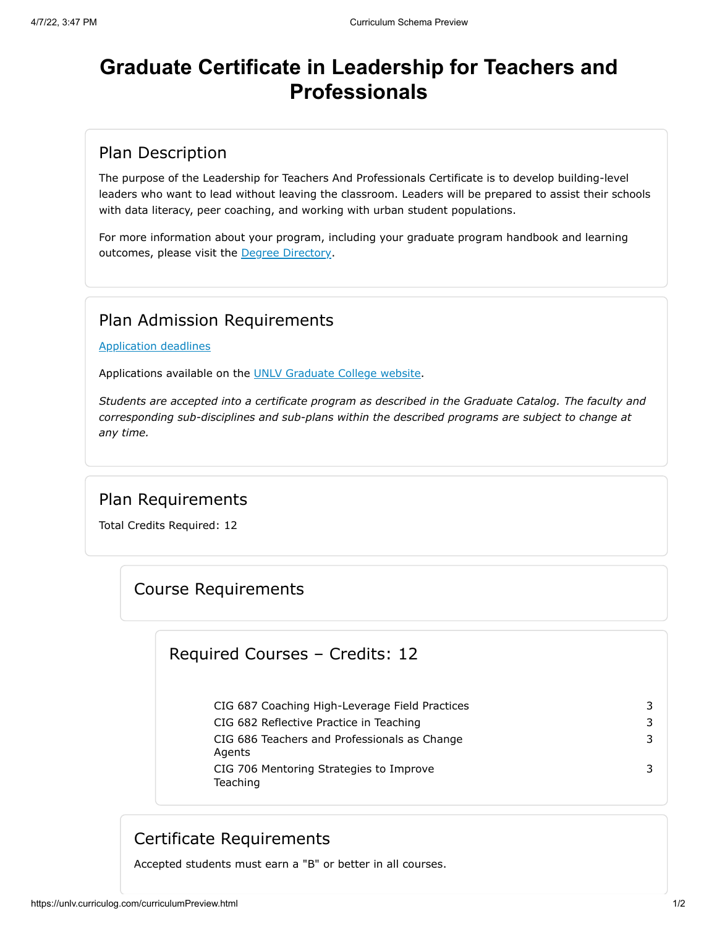# **Graduate Certificate in Leadership for Teachers and Professionals**

#### Plan Description

The purpose of the Leadership for Teachers And Professionals Certificate is to develop building-level leaders who want to lead without leaving the classroom. Leaders will be prepared to assist their schools with data literacy, peer coaching, and working with urban student populations.

For more information about your program, including your graduate program handbook and learning outcomes, please visit the [Degree Directory](https://www.unlv.edu/degree/leadership-teachers-professionals).

## Plan Admission Requirements

[Application deadlines](http://www.unlv.edu/graduatecollege/application-deadlines)

Applications available on the [UNLV Graduate College website.](http://graduatecollege.unlv.edu/)

*Students are accepted into a certificate program as described in the Graduate Catalog. The faculty and corresponding sub-disciplines and sub-plans within the described programs are subject to change at any time.*

## Plan Requirements

Total Credits Required: 12

#### Course Requirements

#### Required Courses – Credits: 12

| CIG 687 Coaching High-Leverage Field Practices         | 3 |
|--------------------------------------------------------|---|
| CIG 682 Reflective Practice in Teaching                | 3 |
| CIG 686 Teachers and Professionals as Change<br>Agents | 3 |
| CIG 706 Mentoring Strategies to Improve<br>Teaching    | 3 |

## Certificate Requirements

Accepted students must earn a "B" or better in all courses.